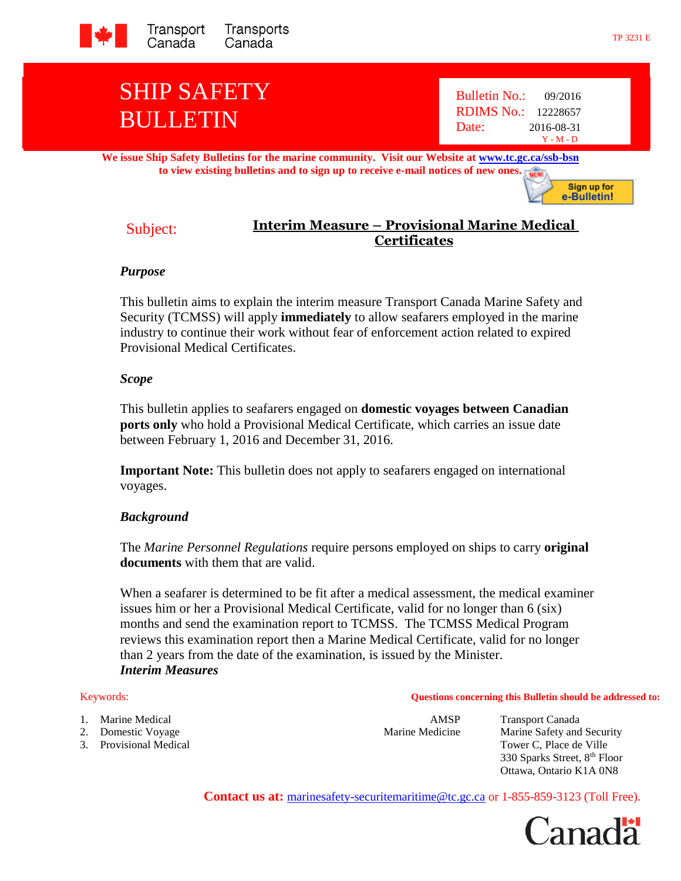

# SHIP SAFETY BULLETIN

Bulletin No.: 09/2016 RDIMS No.: 12228657 Date: 2016-08-31 Y - M - D

**We issue Ship Safety Bulletins for the marine community. Visit our Website at [www.tc.gc.ca/ssb-bsn](http://www.tc.gc.ca/ssb-bsn) to view existing bulletins and to sign up to receive e-mail notices of new ones.** NEW

> Sign up for e-Bulletin!

# Subject: **Interim Measure – Provisional Marine Medical Certificates**

## *Purpose*

This bulletin aims to explain the interim measure Transport Canada Marine Safety and Security (TCMSS) will apply **immediately** to allow seafarers employed in the marine industry to continue their work without fear of enforcement action related to expired Provisional Medical Certificates.

## *Scope*

This bulletin applies to seafarers engaged on **domestic voyages between Canadian ports only** who hold a Provisional Medical Certificate, which carries an issue date between February 1, 2016 and December 31, 2016.

**Important Note:** This bulletin does not apply to seafarers engaged on international voyages.

# *Background*

The *Marine Personnel Regulations* require persons employed on ships to carry **original documents** with them that are valid.

When a seafarer is determined to be fit after a medical assessment, the medical examiner issues him or her a Provisional Medical Certificate, valid for no longer than 6 (six) months and send the examination report to TCMSS. The TCMSS Medical Program reviews this examination report then a Marine Medical Certificate, valid for no longer than 2 years from the date of the examination, is issued by the Minister. *Interim Measures*

- 1. Marine Medical **AMSP** Transport Canada
- 
- 

Keywords: **Questions concerning this Bulletin should be addressed to:**

2. Domestic Voyage **Marine Medicine** Marine Marine Safety and Security 3. Provisional Medical Tower C, Place de Ville 330 Sparks Street, 8th Floor Ottawa, Ontario K1A 0N8

**Contact us at:** [marinesafety-securitemaritime@tc.gc.ca](http://www.tc.gc.ca/marinesafety) or 1-855-859-3123 (Toll Free).